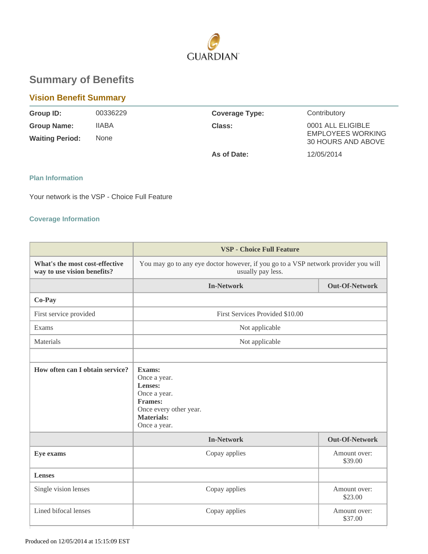

# **Summary of Benefits**

## **Vision Benefit Summary**

| Group ID:              | 00336229     | <b>Coverage Type:</b> | Contributory                                   |
|------------------------|--------------|-----------------------|------------------------------------------------|
| <b>Group Name:</b>     | <b>IIABA</b> | Class:                | 0001 ALL ELIGIBLE                              |
| <b>Waiting Period:</b> | None         |                       | <b>EMPLOYEES WORKING</b><br>30 HOURS AND ABOVE |
|                        |              | As of Date:           | 12/05/2014                                     |

## **Plan Information**

Your network is the VSP - Choice Full Feature

## **Coverage Information**

|                                                               | <b>VSP</b> - Choice Full Feature                                                                                                   |                         |  |
|---------------------------------------------------------------|------------------------------------------------------------------------------------------------------------------------------------|-------------------------|--|
| What's the most cost-effective<br>way to use vision benefits? | You may go to any eye doctor however, if you go to a VSP network provider you will<br>usually pay less.                            |                         |  |
|                                                               | <b>In-Network</b>                                                                                                                  | <b>Out-Of-Network</b>   |  |
| Co-Pay                                                        |                                                                                                                                    |                         |  |
| First service provided                                        | First Services Provided \$10.00                                                                                                    |                         |  |
| Exams                                                         | Not applicable                                                                                                                     |                         |  |
| Materials                                                     | Not applicable                                                                                                                     |                         |  |
|                                                               |                                                                                                                                    |                         |  |
| How often can I obtain service?                               | Exams:<br>Once a year.<br>Lenses:<br>Once a year.<br><b>Frames:</b><br>Once every other year.<br><b>Materials:</b><br>Once a year. |                         |  |
|                                                               | <b>In-Network</b>                                                                                                                  | <b>Out-Of-Network</b>   |  |
| Eye exams                                                     | Copay applies                                                                                                                      | Amount over:<br>\$39.00 |  |
| <b>Lenses</b>                                                 |                                                                                                                                    |                         |  |
| Single vision lenses                                          | Copay applies                                                                                                                      | Amount over:<br>\$23.00 |  |
| Lined bifocal lenses                                          | Copay applies                                                                                                                      | Amount over:<br>\$37.00 |  |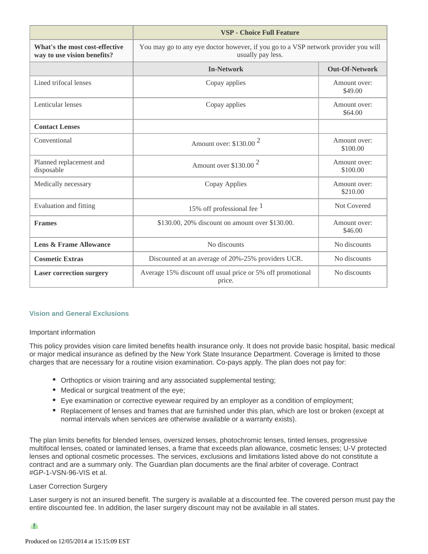|                                                               | <b>VSP - Choice Full Feature</b>                                                                        |                          |  |
|---------------------------------------------------------------|---------------------------------------------------------------------------------------------------------|--------------------------|--|
| What's the most cost-effective<br>way to use vision benefits? | You may go to any eye doctor however, if you go to a VSP network provider you will<br>usually pay less. |                          |  |
|                                                               | <b>In-Network</b>                                                                                       | <b>Out-Of-Network</b>    |  |
| Lined trifocal lenses                                         | Copay applies                                                                                           | Amount over:<br>\$49.00  |  |
| Lenticular lenses                                             | Copay applies                                                                                           | Amount over:<br>\$64.00  |  |
| <b>Contact Lenses</b>                                         |                                                                                                         |                          |  |
| Conventional                                                  | Amount over: $$130.002$                                                                                 | Amount over:<br>\$100.00 |  |
| Planned replacement and<br>disposable                         | Amount over $$130.002$                                                                                  | Amount over:<br>\$100.00 |  |
| Medically necessary                                           | Copay Applies                                                                                           | Amount over:<br>\$210.00 |  |
| Evaluation and fitting                                        | 15% off professional fee $1$                                                                            | Not Covered              |  |
| <b>Frames</b>                                                 | \$130.00, 20% discount on amount over \$130.00.                                                         | Amount over:<br>\$46.00  |  |
| <b>Lens &amp; Frame Allowance</b>                             | No discounts                                                                                            | No discounts             |  |
| <b>Cosmetic Extras</b>                                        | Discounted at an average of 20%-25% providers UCR.                                                      | No discounts             |  |
| <b>Laser correction surgery</b>                               | Average 15% discount off usual price or 5% off promotional<br>price.                                    | No discounts             |  |

#### **Vision and General Exclusions**

#### Important information

This policy provides vision care limited benefits health insurance only. It does not provide basic hospital, basic medical or major medical insurance as defined by the New York State Insurance Department. Coverage is limited to those charges that are necessary for a routine vision examination. Co-pays apply. The plan does not pay for:

- Orthoptics or vision training and any associated supplemental testing;
- Medical or surgical treatment of the eye;
- Eye examination or corrective eyewear required by an employer as a condition of employment;
- Replacement of lenses and frames that are furnished under this plan, which are lost or broken (except at normal intervals when services are otherwise available or a warranty exists).

The plan limits benefits for blended lenses, oversized lenses, photochromic lenses, tinted lenses, progressive multifocal lenses, coated or laminated lenses, a frame that exceeds plan allowance, cosmetic lenses; U-V protected lenses and optional cosmetic processes. The services, exclusions and limitations listed above do not constitute a contract and are a summary only. The Guardian plan documents are the final arbiter of coverage. Contract #GP-1-VSN-96-VIS et al.

### Laser Correction Surgery

Laser surgery is not an insured benefit. The surgery is available at a discounted fee. The covered person must pay the entire discounted fee. In addition, the laser surgery discount may not be available in all states.